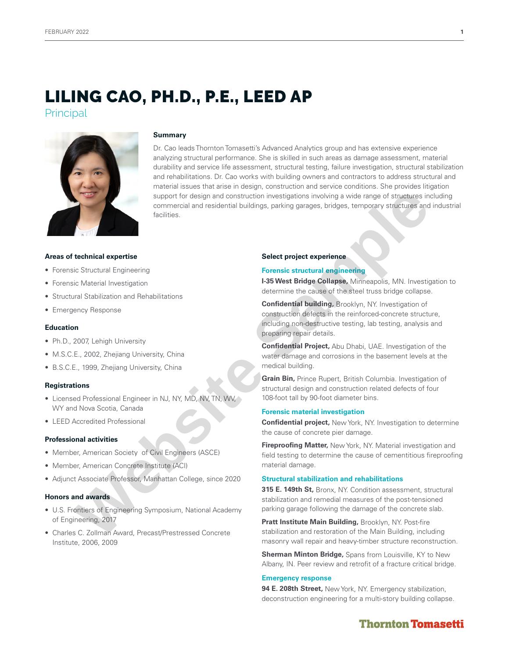# LILING CAO, PH.D., P.E., LEED AP

**Principal** 



### **Summary**

Dr. Cao leads Thornton Tomasetti's Advanced Analytics group and has extensive experience analyzing structural performance. She is skilled in such areas as damage assessment, material durability and service life assessment, structural testing, failure investigation, structural stabilization and rehabilitations. Dr. Cao works with building owners and contractors to address structural and material issues that arise in design, construction and service conditions. She provides litigation support for design and construction investigations involving a wide range of structures including commercial and residential buildings, parking garages, bridges, temporary structures and industrial facilities. **Example 12 and 2007**<br> **Example 12 and 2007**<br> **Example 2007**<br> **Example 2007**<br> **Example 2007**<br> **Example 2007**<br> **Example 2007**<br> **Example 2007**<br> **Example 2007**<br> **Example 2007**<br> **Example 2007**<br> **Example 2007**<br> **Example 2007**<br>

### **Areas of technical expertise**

- Forensic Structural Engineering
- Forensic Material Investigation
- Structural Stabilization and Rehabilitations
- Emergency Response

#### **Education**

- Ph.D., 2007, Lehigh University
- M.S.C.E., 2002, Zhejiang University, China
- B.S.C.E., 1999, Zhejiang University, China

#### **Registrations**

- Licensed Professional Engineer in NJ, NY, MD, NV, TN, WV, WY and Nova Scotia, Canada
- LEED Accredited Professional

#### **Professional activities**

- Member, American Society of Civil Engineers (ASCE)
- Member, American Concrete Institute (ACI)
- Adjunct Associate Professor, Manhattan College, since 2020

# **Honors and awards**

- U.S. Frontiers of Engineering Symposium, National Academy of Engineering, 2017
- Charles C. Zollman Award, Precast/Prestressed Concrete Institute, 2006, 2009

#### **Select project experience**

#### **Forensic structural engineering**

**I-35 West Bridge Collapse,** Minneapolis, MN. Investigation to determine the cause of the steel truss bridge collapse.

**Confidential building,** Brooklyn, NY. Investigation of construction defects in the reinforced-concrete structure, including non-destructive testing, lab testing, analysis and preparing repair details.

**Confidential Project,** Abu Dhabi, UAE. Investigation of the water damage and corrosions in the basement levels at the medical building.

**Grain Bin,** Prince Rupert, British Columbia. Investigation of structural design and construction related defects of four 108-foot tall by 90-foot diameter bins.

### **Forensic material investigation**

**Confidential project,** New York, NY. Investigation to determine the cause of concrete pier damage.

**Fireproofing Matter, New York, NY. Material investigation and** field testing to determine the cause of cementitious fireproofing material damage.

# **Structural stabilization and rehabilitations**

**315 E. 149th St,** Bronx, NY. Condition assessment, structural stabilization and remedial measures of the post-tensioned parking garage following the damage of the concrete slab.

**Pratt Institute Main Building,** Brooklyn, NY. Post-fire stabilization and restoration of the Main Building, including masonry wall repair and heavy-timber structure reconstruction.

**Sherman Minton Bridge,** Spans from Louisville, KY to New Albany, IN. Peer review and retrofit of a fracture critical bridge.

#### **Emergency response**

**94 E. 208th Street,** New York, NY. Emergency stabilization, deconstruction engineering for a multi-story building collapse.